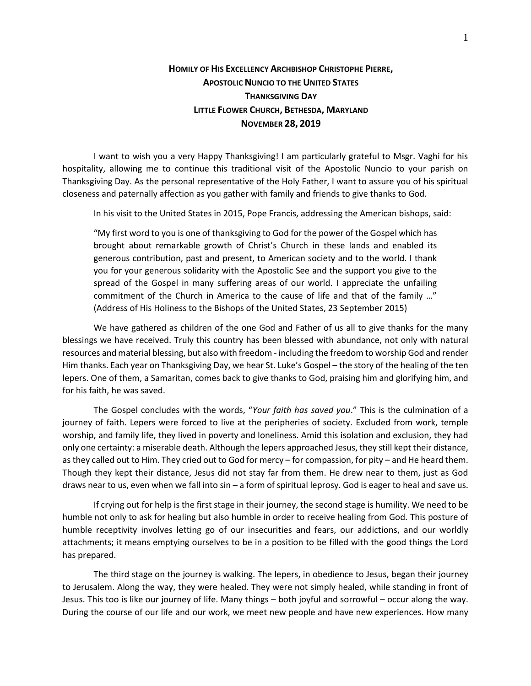## **HOMILY OF HIS EXCELLENCY ARCHBISHOP CHRISTOPHE PIERRE, APOSTOLIC NUNCIO TO THE UNITED STATES THANKSGIVING DAY LITTLE FLOWER CHURCH, BETHESDA, MARYLAND NOVEMBER 28, 2019**

I want to wish you a very Happy Thanksgiving! I am particularly grateful to Msgr. Vaghi for his hospitality, allowing me to continue this traditional visit of the Apostolic Nuncio to your parish on Thanksgiving Day. As the personal representative of the Holy Father, I want to assure you of his spiritual closeness and paternally affection as you gather with family and friends to give thanks to God.

In his visit to the United States in 2015, Pope Francis, addressing the American bishops, said:

"My first word to you is one of thanksgiving to God for the power of the Gospel which has brought about remarkable growth of Christ's Church in these lands and enabled its generous contribution, past and present, to American society and to the world. I thank you for your generous solidarity with the Apostolic See and the support you give to the spread of the Gospel in many suffering areas of our world. I appreciate the unfailing commitment of the Church in America to the cause of life and that of the family …" (Address of His Holiness to the Bishops of the United States, 23 September 2015)

We have gathered as children of the one God and Father of us all to give thanks for the many blessings we have received. Truly this country has been blessed with abundance, not only with natural resources and material blessing, but also with freedom - including the freedom to worship God and render Him thanks. Each year on Thanksgiving Day, we hear St. Luke's Gospel – the story of the healing of the ten lepers. One of them, a Samaritan, comes back to give thanks to God, praising him and glorifying him, and for his faith, he was saved.

The Gospel concludes with the words, "*Your faith has saved you*." This is the culmination of a journey of faith. Lepers were forced to live at the peripheries of society. Excluded from work, temple worship, and family life, they lived in poverty and loneliness. Amid this isolation and exclusion, they had only one certainty: a miserable death. Although the lepers approached Jesus, they still kept their distance, as they called out to Him. They cried out to God for mercy – for compassion, for pity – and He heard them. Though they kept their distance, Jesus did not stay far from them. He drew near to them, just as God draws near to us, even when we fall into sin – a form of spiritual leprosy. God is eager to heal and save us.

If crying out for help is the first stage in their journey, the second stage is humility. We need to be humble not only to ask for healing but also humble in order to receive healing from God. This posture of humble receptivity involves letting go of our insecurities and fears, our addictions, and our worldly attachments; it means emptying ourselves to be in a position to be filled with the good things the Lord has prepared.

The third stage on the journey is walking. The lepers, in obedience to Jesus, began their journey to Jerusalem. Along the way, they were healed. They were not simply healed, while standing in front of Jesus. This too is like our journey of life. Many things – both joyful and sorrowful – occur along the way. During the course of our life and our work, we meet new people and have new experiences. How many